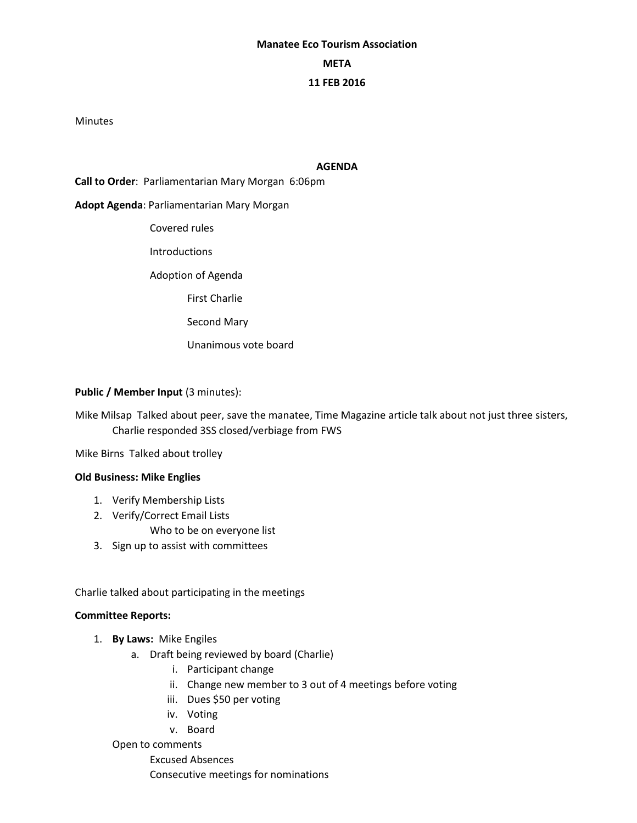# **Manatee Eco Tourism Association META 11 FEB 2016**

#### Minutes

## **AGENDA**

**Call to Order**: Parliamentarian Mary Morgan 6:06pm

## **Adopt Agenda**: Parliamentarian Mary Morgan

- Covered rules
- Introductions

Adoption of Agenda

First Charlie

Second Mary

Unanimous vote board

## **Public / Member Input (3 minutes):**

Mike Milsap Talked about peer, save the manatee, Time Magazine article talk about not just three sisters, Charlie responded 3SS closed/verbiage from FWS

Mike Birns Talked about trolley

#### **Old Business: Mike Englies**

- 1. Verify Membership Lists
- 2. Verify/Correct Email Lists

Who to be on everyone list

3. Sign up to assist with committees

Charlie talked about participating in the meetings

#### **Committee Reports:**

- 1. **By Laws:** Mike Engiles
	- a. Draft being reviewed by board (Charlie)
		- i. Participant change
		- ii. Change new member to 3 out of 4 meetings before voting
		- iii. Dues \$50 per voting
		- iv. Voting
		- v. Board

Open to comments Excused Absences Consecutive meetings for nominations